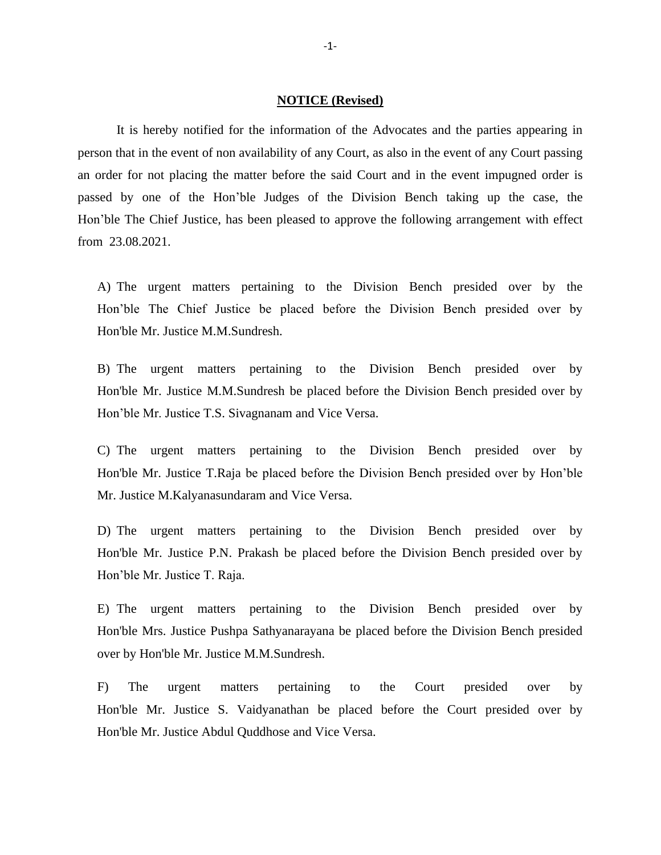## **NOTICE (Revised)**

It is hereby notified for the information of the Advocates and the parties appearing in person that in the event of non availability of any Court, as also in the event of any Court passing an order for not placing the matter before the said Court and in the event impugned order is passed by one of the Hon'ble Judges of the Division Bench taking up the case, the Hon'ble The Chief Justice, has been pleased to approve the following arrangement with effect from 23.08.2021.

A) The urgent matters pertaining to the Division Bench presided over by the Hon'ble The Chief Justice be placed before the Division Bench presided over by Hon'ble Mr. Justice M.M.Sundresh.

B) The urgent matters pertaining to the Division Bench presided over by Hon'ble Mr. Justice M.M.Sundresh be placed before the Division Bench presided over by Hon'ble Mr. Justice T.S. Sivagnanam and Vice Versa.

C) The urgent matters pertaining to the Division Bench presided over by Hon'ble Mr. Justice T.Raja be placed before the Division Bench presided over by Hon'ble Mr. Justice M.Kalyanasundaram and Vice Versa.

D) The urgent matters pertaining to the Division Bench presided over by Hon'ble Mr. Justice P.N. Prakash be placed before the Division Bench presided over by Hon'ble Mr. Justice T. Raja.

E) The urgent matters pertaining to the Division Bench presided over by Hon'ble Mrs. Justice Pushpa Sathyanarayana be placed before the Division Bench presided over by Hon'ble Mr. Justice M.M.Sundresh.

F) The urgent matters pertaining to the Court presided over by Hon'ble Mr. Justice S. Vaidyanathan be placed before the Court presided over by Hon'ble Mr. Justice Abdul Quddhose and Vice Versa.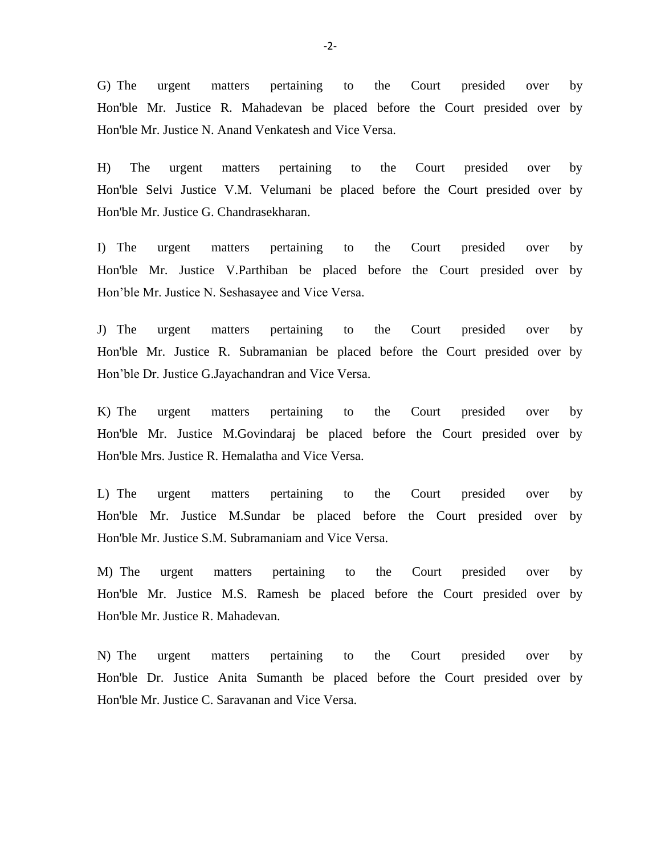G) The urgent matters pertaining to the Court presided over by Hon'ble Mr. Justice R. Mahadevan be placed before the Court presided over by Hon'ble Mr. Justice N. Anand Venkatesh and Vice Versa.

H) The urgent matters pertaining to the Court presided over by Hon'ble Selvi Justice V.M. Velumani be placed before the Court presided over by Hon'ble Mr. Justice G. Chandrasekharan.

I) The urgent matters pertaining to the Court presided over by Hon'ble Mr. Justice V.Parthiban be placed before the Court presided over by Hon'ble Mr. Justice N. Seshasayee and Vice Versa.

J) The urgent matters pertaining to the Court presided over by Hon'ble Mr. Justice R. Subramanian be placed before the Court presided over by Hon'ble Dr. Justice G.Jayachandran and Vice Versa.

K) The urgent matters pertaining to the Court presided over by Hon'ble Mr. Justice M.Govindaraj be placed before the Court presided over by Hon'ble Mrs. Justice R. Hemalatha and Vice Versa.

L) The urgent matters pertaining to the Court presided over by Hon'ble Mr. Justice M.Sundar be placed before the Court presided over by Hon'ble Mr. Justice S.M. Subramaniam and Vice Versa.

M) The urgent matters pertaining to the Court presided over by Hon'ble Mr. Justice M.S. Ramesh be placed before the Court presided over by Hon'ble Mr. Justice R. Mahadevan.

N) The urgent matters pertaining to the Court presided over by Hon'ble Dr. Justice Anita Sumanth be placed before the Court presided over by Hon'ble Mr. Justice C. Saravanan and Vice Versa.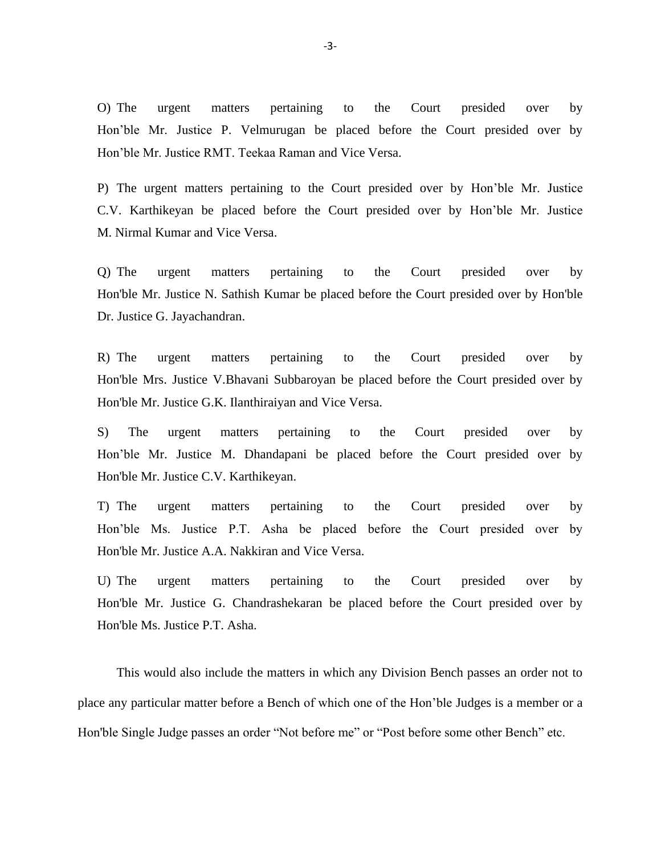O) The urgent matters pertaining to the Court presided over by Hon'ble Mr. Justice P. Velmurugan be placed before the Court presided over by Hon'ble Mr. Justice RMT. Teekaa Raman and Vice Versa.

P) The urgent matters pertaining to the Court presided over by Hon'ble Mr. Justice C.V. Karthikeyan be placed before the Court presided over by Hon'ble Mr. Justice M. Nirmal Kumar and Vice Versa.

Q) The urgent matters pertaining to the Court presided over by Hon'ble Mr. Justice N. Sathish Kumar be placed before the Court presided over by Hon'ble Dr. Justice G. Jayachandran.

R) The urgent matters pertaining to the Court presided over by Hon'ble Mrs. Justice V.Bhavani Subbaroyan be placed before the Court presided over by Hon'ble Mr. Justice G.K. Ilanthiraiyan and Vice Versa.

S) The urgent matters pertaining to the Court presided over by Hon'ble Mr. Justice M. Dhandapani be placed before the Court presided over by Hon'ble Mr. Justice C.V. Karthikeyan.

T) The urgent matters pertaining to the Court presided over by Hon'ble Ms. Justice P.T. Asha be placed before the Court presided over by Hon'ble Mr. Justice A.A. Nakkiran and Vice Versa.

U) The urgent matters pertaining to the Court presided over by Hon'ble Mr. Justice G. Chandrashekaran be placed before the Court presided over by Hon'ble Ms. Justice P.T. Asha.

This would also include the matters in which any Division Bench passes an order not to place any particular matter before a Bench of which one of the Hon'ble Judges is a member or a Hon'ble Single Judge passes an order "Not before me" or "Post before some other Bench" etc.